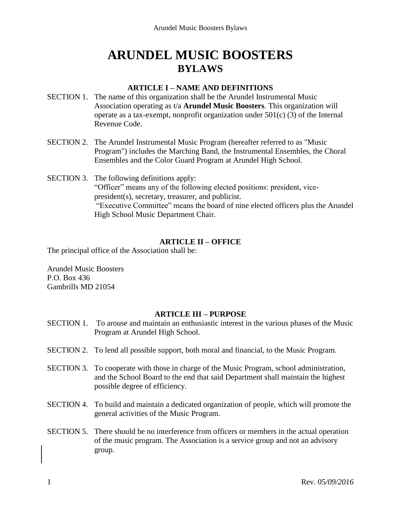# **ARUNDEL MUSIC BOOSTERS BYLAWS**

### **ARTICLE I – NAME AND DEFINITIONS**

- SECTION 1. The name of this organization shall be the Arundel Instrumental Music Association operating as t/a **Arundel Music Boosters**. This organization will operate as a tax-exempt, nonprofit organization under 501(c) (3) of the Internal Revenue Code.
- SECTION 2. The Arundel Instrumental Music Program (hereafter referred to as "Music Program") includes the Marching Band, the Instrumental Ensembles, the Choral Ensembles and the Color Guard Program at Arundel High School.
- SECTION 3. The following definitions apply: "Officer" means any of the following elected positions: president, vicepresident(s), secretary, treasurer, and publicist. "Executive Committee" means the board of nine elected officers plus the Arundel High School Music Department Chair.

## **ARTICLE II – OFFICE**

The principal office of the Association shall be:

Arundel Music Boosters P.O. Box 436 Gambrills MD 21054

#### **ARTICLE III – PURPOSE**

- SECTION 1. To arouse and maintain an enthusiastic interest in the various phases of the Music Program at Arundel High School.
- SECTION 2. To lend all possible support, both moral and financial, to the Music Program.
- SECTION 3. To cooperate with those in charge of the Music Program, school administration, and the School Board to the end that said Department shall maintain the highest possible degree of efficiency.
- SECTION 4. To build and maintain a dedicated organization of people, which will promote the general activities of the Music Program.
- SECTION 5. There should be no interference from officers or members in the actual operation of the music program. The Association is a service group and not an advisory group.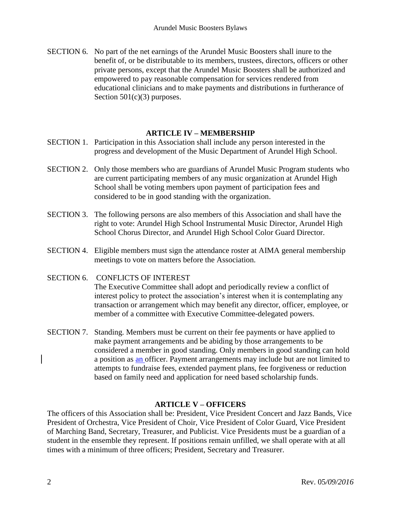SECTION 6. No part of the net earnings of the Arundel Music Boosters shall inure to the benefit of, or be distributable to its members, trustees, directors, officers or other private persons, except that the Arundel Music Boosters shall be authorized and empowered to pay reasonable compensation for services rendered from educational clinicians and to make payments and distributions in furtherance of Section  $501(c)(3)$  purposes.

## **ARTICLE IV – MEMBERSHIP**

- SECTION 1. Participation in this Association shall include any person interested in the progress and development of the Music Department of Arundel High School.
- SECTION 2. Only those members who are guardians of Arundel Music Program students who are current participating members of any music organization at Arundel High School shall be voting members upon payment of participation fees and considered to be in good standing with the organization.
- SECTION 3. The following persons are also members of this Association and shall have the right to vote: Arundel High School Instrumental Music Director, Arundel High School Chorus Director, and Arundel High School Color Guard Director.
- SECTION 4. Eligible members must sign the attendance roster at AIMA general membership meetings to vote on matters before the Association.

## SECTION 6. CONFLICTS OF INTEREST The Executive Committee shall adopt and periodically review a conflict of

interest policy to protect the association's interest when it is contemplating any transaction or arrangement which may benefit any director, officer, employee, or member of a committee with Executive Committee-delegated powers.

SECTION 7. Standing. Members must be current on their fee payments or have applied to make payment arrangements and be abiding by those arrangements to be considered a member in good standing. Only members in good standing can hold a position as an officer. Payment arrangements may include but are not limited to attempts to fundraise fees, extended payment plans, fee forgiveness or reduction based on family need and application for need based scholarship funds.

## **ARTICLE V – OFFICERS**

The officers of this Association shall be: President, Vice President Concert and Jazz Bands, Vice President of Orchestra, Vice President of Choir, Vice President of Color Guard, Vice President of Marching Band, Secretary, Treasurer, and Publicist. Vice Presidents must be a guardian of a student in the ensemble they represent. If positions remain unfilled, we shall operate with at all times with a minimum of three officers; President, Secretary and Treasurer.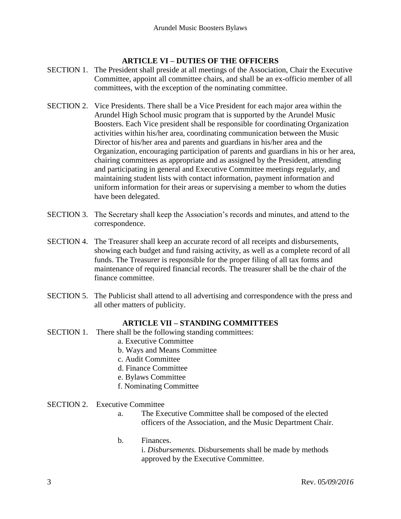## **ARTICLE VI – DUTIES OF THE OFFICERS**

- SECTION 1. The President shall preside at all meetings of the Association, Chair the Executive Committee, appoint all committee chairs, and shall be an ex-officio member of all committees, with the exception of the nominating committee.
- SECTION 2. Vice Presidents. There shall be a Vice President for each major area within the Arundel High School music program that is supported by the Arundel Music Boosters. Each Vice president shall be responsible for coordinating Organization activities within his/her area, coordinating communication between the Music Director of his/her area and parents and guardians in his/her area and the Organization, encouraging participation of parents and guardians in his or her area, chairing committees as appropriate and as assigned by the President, attending and participating in general and Executive Committee meetings regularly, and maintaining student lists with contact information, payment information and uniform information for their areas or supervising a member to whom the duties have been delegated.
- SECTION 3. The Secretary shall keep the Association's records and minutes, and attend to the correspondence.
- SECTION 4. The Treasurer shall keep an accurate record of all receipts and disbursements, showing each budget and fund raising activity, as well as a complete record of all funds. The Treasurer is responsible for the proper filing of all tax forms and maintenance of required financial records. The treasurer shall be the chair of the finance committee.
- SECTION 5. The Publicist shall attend to all advertising and correspondence with the press and all other matters of publicity.

## **ARTICLE VII – STANDING COMMITTEES**

- SECTION 1. There shall be the following standing committees:
	- a. Executive Committee
	- b. Ways and Means Committee
	- c. Audit Committee
	- d. Finance Committee
	- e. Bylaws Committee
	- f. Nominating Committee
- SECTION 2. Executive Committee
	- a. The Executive Committee shall be composed of the elected officers of the Association, and the Music Department Chair.
	- b. Finances.

i. *Disbursements.* Disbursements shall be made by methods approved by the Executive Committee.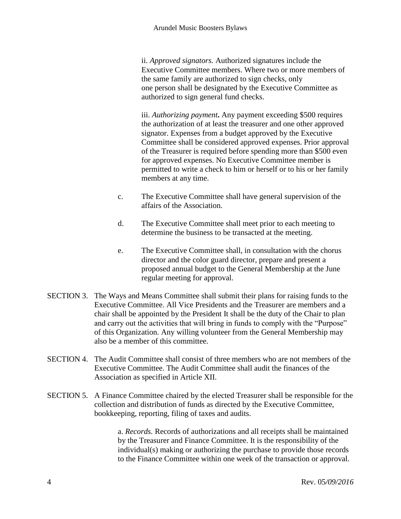ii. *Approved signators.* Authorized signatures include the Executive Committee members. Where two or more members of the same family are authorized to sign checks, only one person shall be designated by the Executive Committee as authorized to sign general fund checks.

iii. *Authorizing payment***.** Any payment exceeding \$500 requires the authorization of at least the treasurer and one other approved signator. Expenses from a budget approved by the Executive Committee shall be considered approved expenses. Prior approval of the Treasurer is required before spending more than \$500 even for approved expenses. No Executive Committee member is permitted to write a check to him or herself or to his or her family members at any time.

- c. The Executive Committee shall have general supervision of the affairs of the Association.
- d. The Executive Committee shall meet prior to each meeting to determine the business to be transacted at the meeting.
- e. The Executive Committee shall, in consultation with the chorus director and the color guard director, prepare and present a proposed annual budget to the General Membership at the June regular meeting for approval.
- SECTION 3. The Ways and Means Committee shall submit their plans for raising funds to the Executive Committee. All Vice Presidents and the Treasurer are members and a chair shall be appointed by the President It shall be the duty of the Chair to plan and carry out the activities that will bring in funds to comply with the "Purpose" of this Organization. Any willing volunteer from the General Membership may also be a member of this committee.
- SECTION 4. The Audit Committee shall consist of three members who are not members of the Executive Committee. The Audit Committee shall audit the finances of the Association as specified in Article XII.
- SECTION 5. A Finance Committee chaired by the elected Treasurer shall be responsible for the collection and distribution of funds as directed by the Executive Committee, bookkeeping, reporting, filing of taxes and audits.

a. *Records.* Records of authorizations and all receipts shall be maintained by the Treasurer and Finance Committee. It is the responsibility of the individual(s) making or authorizing the purchase to provide those records to the Finance Committee within one week of the transaction or approval.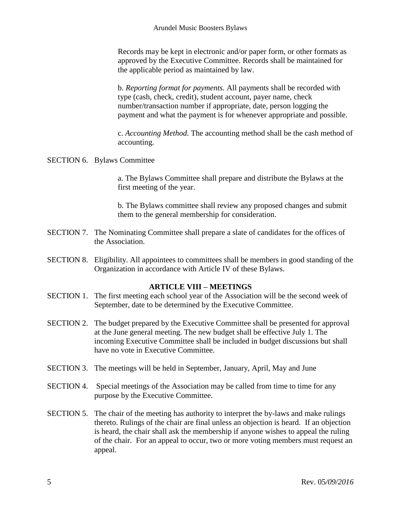Records may be kept in electronic and/or paper form, or other formats as approved by the Executive Committee. Records shall be maintained for the applicable period as maintained by law.

b. *Reporting format for payments.* All payments shall be recorded with type (cash, check, credit), student account, payer name, check number/transaction number if appropriate, date, person logging the payment and what the payment is for whenever appropriate and possible.

c. *Accounting Method.* The accounting method shall be the cash method of accounting.

#### SECTION 6. Bylaws Committee

a. The Bylaws Committee shall prepare and distribute the Bylaws at the first meeting of the year.

b. The Bylaws committee shall review any proposed changes and submit them to the general membership for consideration.

- SECTION 7. The Nominating Committee shall prepare a slate of candidates for the offices of the Association.
- SECTION 8. Eligibility. All appointees to committees shall be members in good standing of the Organization in accordance with Article IV of these Bylaws.

#### **ARTICLE VIII – MEETINGS**

- SECTION 1. The first meeting each school year of the Association will be the second week of September, date to be determined by the Executive Committee.
- SECTION 2. The budget prepared by the Executive Committee shall be presented for approval at the June general meeting. The new budget shall be effective July 1. The incoming Executive Committee shall be included in budget discussions but shall have no vote in Executive Committee.
- SECTION 3. The meetings will be held in September, January, April, May and June
- SECTION 4. Special meetings of the Association may be called from time to time for any purpose by the Executive Committee.
- SECTION 5. The chair of the meeting has authority to interpret the by-laws and make rulings thereto. Rulings of the chair are final unless an objection is heard. If an objection is heard, the chair shall ask the membership if anyone wishes to appeal the ruling of the chair. For an appeal to occur, two or more voting members must request an appeal.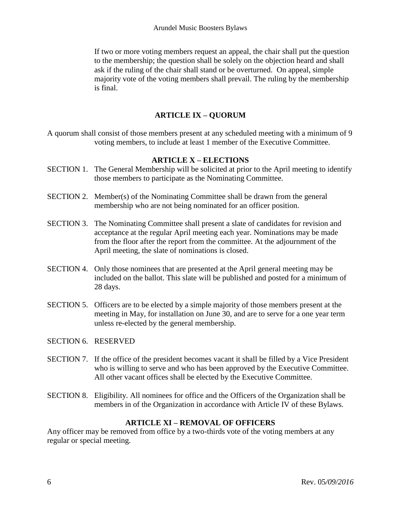If two or more voting members request an appeal, the chair shall put the question to the membership; the question shall be solely on the objection heard and shall ask if the ruling of the chair shall stand or be overturned. On appeal, simple majority vote of the voting members shall prevail. The ruling by the membership is final.

## **ARTICLE IX – QUORUM**

A quorum shall consist of those members present at any scheduled meeting with a minimum of 9 voting members, to include at least 1 member of the Executive Committee.

## **ARTICLE X – ELECTIONS**

- SECTION 1. The General Membership will be solicited at prior to the April meeting to identify those members to participate as the Nominating Committee.
- SECTION 2. Member(s) of the Nominating Committee shall be drawn from the general membership who are not being nominated for an officer position.
- SECTION 3. The Nominating Committee shall present a slate of candidates for revision and acceptance at the regular April meeting each year. Nominations may be made from the floor after the report from the committee. At the adjournment of the April meeting, the slate of nominations is closed.
- SECTION 4. Only those nominees that are presented at the April general meeting may be included on the ballot. This slate will be published and posted for a minimum of 28 days.
- SECTION 5. Officers are to be elected by a simple majority of those members present at the meeting in May, for installation on June 30, and are to serve for a one year term unless re-elected by the general membership.
- SECTION 6. RESERVED
- SECTION 7. If the office of the president becomes vacant it shall be filled by a Vice President who is willing to serve and who has been approved by the Executive Committee. All other vacant offices shall be elected by the Executive Committee.
- SECTION 8. Eligibility. All nominees for office and the Officers of the Organization shall be members in of the Organization in accordance with Article IV of these Bylaws.

## **ARTICLE XI – REMOVAL OF OFFICERS**

Any officer may be removed from office by a two-thirds vote of the voting members at any regular or special meeting.